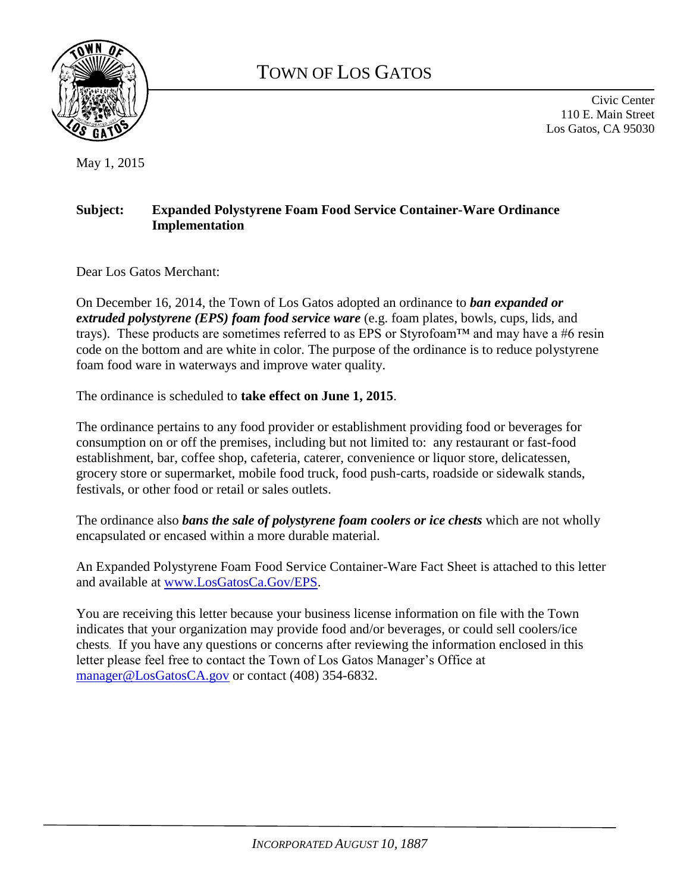

# TOWN OF LOS GATOS

Civic Center 110 E. Main Street Los Gatos, CA 95030

May 1, 2015

### **Subject: Expanded Polystyrene Foam Food Service Container-Ware Ordinance Implementation**

Dear Los Gatos Merchant:

On December 16, 2014, the Town of Los Gatos adopted an ordinance to *ban expanded or extruded polystyrene (EPS) foam food service ware* (e.g. foam plates, bowls, cups, lids, and trays). These products are sometimes referred to as EPS or Styrofoam™ and may have a #6 resin code on the bottom and are white in color. The purpose of the ordinance is to reduce polystyrene foam food ware in waterways and improve water quality.

The ordinance is scheduled to **take effect on June 1, 2015**.

The ordinance pertains to any food provider or establishment providing food or beverages for consumption on or off the premises, including but not limited to: any restaurant or fast-food establishment, bar, coffee shop, cafeteria, caterer, convenience or liquor store, delicatessen, grocery store or supermarket, mobile food truck, food push-carts, roadside or sidewalk stands, festivals, or other food or retail or sales outlets.

The ordinance also *bans the sale of polystyrene foam coolers or ice chests* which are not wholly encapsulated or encased within a more durable material.

An Expanded Polystyrene Foam Food Service Container-Ware Fact Sheet is attached to this letter and available at [www.LosGatosCa.Gov/EPS.](http://www.losgatosca.gov/EPS)

You are receiving this letter because your business license information on file with the Town indicates that your organization may provide food and/or beverages, or could sell coolers/ice chests. If you have any questions or concerns after reviewing the information enclosed in this letter please feel free to contact the Town of Los Gatos Manager's Office at [manager@LosGatosCA.gov](mailto:manager@LosGatosCA.gov) or contact (408) 354-6832.